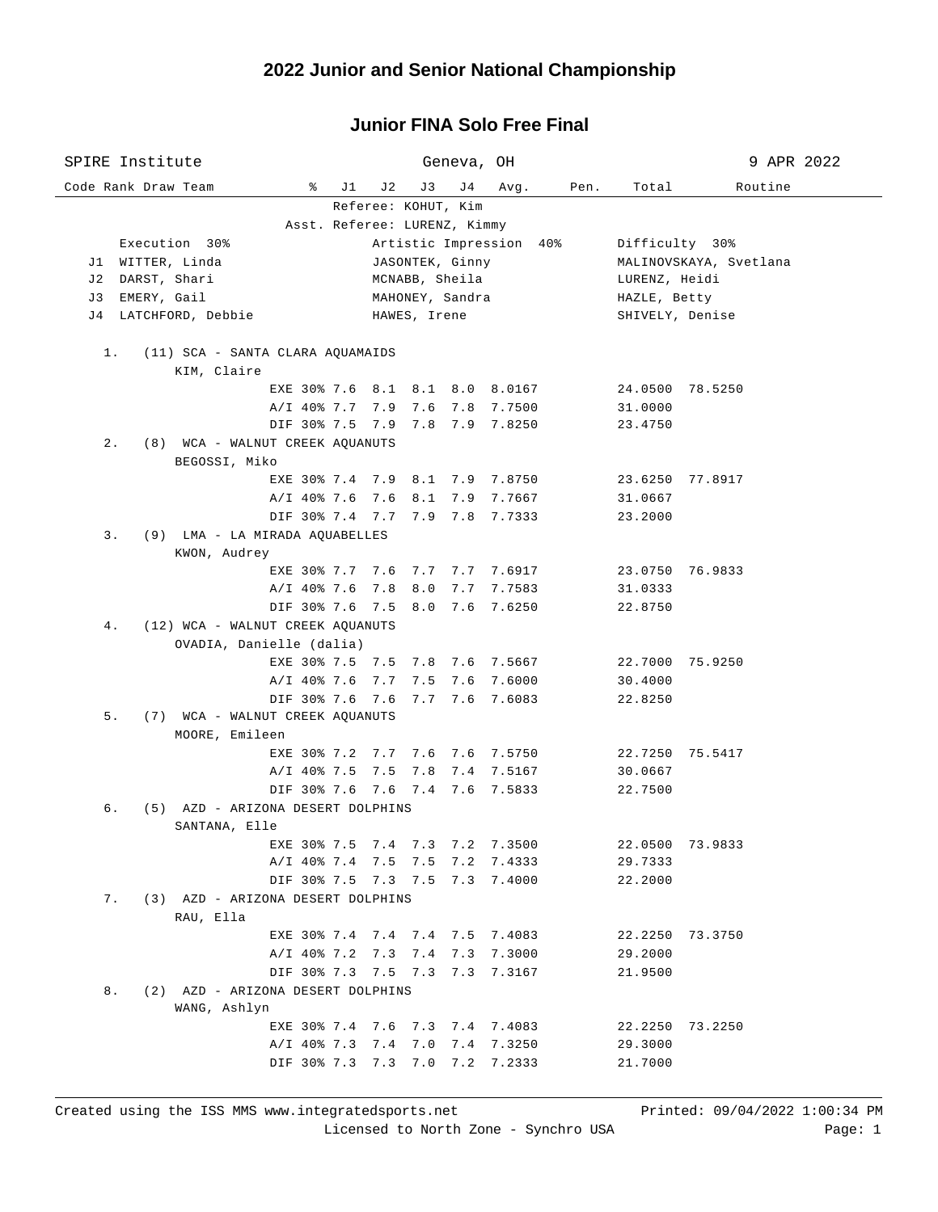## **Junior FINA Solo Free Final**

| SPIRE Institute                           |                                              | Geneva, OH                     |                          |                        | 9 APR 2022 |  |  |  |  |  |
|-------------------------------------------|----------------------------------------------|--------------------------------|--------------------------|------------------------|------------|--|--|--|--|--|
| Code Rank Draw Team<br>ိ                  | J 2<br>J1                                    | J3<br>J 4                      | Avg.<br>Pen.             | Total                  | Routine    |  |  |  |  |  |
| Referee: KOHUT, Kim                       |                                              |                                |                          |                        |            |  |  |  |  |  |
|                                           |                                              | Asst. Referee: LURENZ, Kimmy   |                          |                        |            |  |  |  |  |  |
| Execution 30%                             |                                              |                                | Artistic Impression 40%  | Difficulty 30%         |            |  |  |  |  |  |
| J1 WITTER, Linda                          |                                              | JASONTEK, Ginny                |                          | MALINOVSKAYA, Svetlana |            |  |  |  |  |  |
| J2 DARST, Shari                           |                                              | MCNABB, Sheila                 |                          | LURENZ, Heidi          |            |  |  |  |  |  |
| J3 EMERY, Gail                            |                                              | MAHONEY, Sandra                |                          | HAZLE, Betty           |            |  |  |  |  |  |
| J4 LATCHFORD, Debbie                      |                                              | HAWES, Irene                   |                          | SHIVELY, Denise        |            |  |  |  |  |  |
|                                           |                                              |                                |                          |                        |            |  |  |  |  |  |
| $1$ .<br>(11) SCA - SANTA CLARA AQUAMAIDS |                                              |                                |                          |                        |            |  |  |  |  |  |
| KIM, Claire                               |                                              |                                |                          |                        |            |  |  |  |  |  |
|                                           |                                              | EXE 30% 7.6 8.1 8.1 8.0 8.0167 |                          | 24.0500 78.5250        |            |  |  |  |  |  |
|                                           | A/I 40% 7.7 7.9 7.6                          |                                | 7.8 7.7500               | 31.0000                |            |  |  |  |  |  |
|                                           | DIF 30% 7.5 7.9 7.8                          |                                | 7.9 7.8250               | 23.4750                |            |  |  |  |  |  |
| $2$ .<br>(8) WCA - WALNUT CREEK AQUANUTS  |                                              |                                |                          |                        |            |  |  |  |  |  |
| BEGOSSI, Miko                             |                                              |                                |                          |                        |            |  |  |  |  |  |
|                                           |                                              | EXE 30% 7.4 7.9 8.1 7.9 7.8750 |                          | 23.6250 77.8917        |            |  |  |  |  |  |
|                                           | $A/I$ 40% 7.6 7.6 8.1<br>DIF 30% 7.4 7.7 7.9 |                                | 7.9 7.7667<br>7.8 7.7333 | 31.0667                |            |  |  |  |  |  |
| 3.<br>(9) LMA - LA MIRADA AQUABELLES      |                                              |                                |                          | 23.2000                |            |  |  |  |  |  |
| KWON, Audrey                              |                                              |                                |                          |                        |            |  |  |  |  |  |
|                                           |                                              | EXE 30% 7.7 7.6 7.7 7.7 7.6917 |                          | 23.0750 76.9833        |            |  |  |  |  |  |
|                                           | A/I 40% 7.6 7.8 8.0                          |                                | 7.7 7.7583               | 31.0333                |            |  |  |  |  |  |
|                                           | DIF 30% 7.6 7.5 8.0                          |                                | 7.6 7.6250               | 22.8750                |            |  |  |  |  |  |
| (12) WCA - WALNUT CREEK AQUANUTS<br>4.    |                                              |                                |                          |                        |            |  |  |  |  |  |
| OVADIA, Danielle (dalia)                  |                                              |                                |                          |                        |            |  |  |  |  |  |
|                                           |                                              | EXE 30% 7.5 7.5 7.8 7.6 7.5667 |                          | 22.7000 75.9250        |            |  |  |  |  |  |
|                                           | $A/I$ 40% 7.6 7.7                            | 7.5                            | 7.6 7.6000               | 30.4000                |            |  |  |  |  |  |
|                                           | DIF 30% 7.6 7.6                              | 7.7                            | 7.6 7.6083               | 22.8250                |            |  |  |  |  |  |
| 5.<br>(7) WCA - WALNUT CREEK AQUANUTS     |                                              |                                |                          |                        |            |  |  |  |  |  |
| MOORE, Emileen                            |                                              |                                |                          |                        |            |  |  |  |  |  |
|                                           |                                              | EXE 30% 7.2 7.7 7.6 7.6 7.5750 |                          | 22.7250 75.5417        |            |  |  |  |  |  |
|                                           | A/I 40% 7.5 7.5 7.8                          |                                | 7.4 7.5167               | 30.0667                |            |  |  |  |  |  |
|                                           |                                              | DIF 30% 7.6 7.6 7.4 7.6 7.5833 |                          | 22.7500                |            |  |  |  |  |  |
| б.<br>(5) AZD - ARIZONA DESERT DOLPHINS   |                                              |                                |                          |                        |            |  |  |  |  |  |
| SANTANA, Elle                             |                                              |                                |                          |                        |            |  |  |  |  |  |
| EXE 30% 7.5                               | 7.4 7.3                                      | 7.2                            | 7.3500                   | 22.0500                | 73.9833    |  |  |  |  |  |
| $A/I$ 40% 7.4                             | 7.5                                          | 7.5<br>7.2                     | 7.4333                   | 29.7333                |            |  |  |  |  |  |
|                                           | DIF 30% 7.5 7.3 7.5                          |                                | 7.3 7.4000               | 22.2000                |            |  |  |  |  |  |
| (3) AZD - ARIZONA DESERT DOLPHINS<br>7.   |                                              |                                |                          |                        |            |  |  |  |  |  |
| RAU, Ella                                 |                                              |                                |                          |                        |            |  |  |  |  |  |
|                                           |                                              | EXE 30% 7.4 7.4 7.4 7.5 7.4083 |                          | 22.2250                | 73.3750    |  |  |  |  |  |
|                                           | A/I 40% 7.2 7.3 7.4                          | 7.3                            | 7.3000                   | 29.2000                |            |  |  |  |  |  |
|                                           | DIF 30% 7.3 7.5 7.3                          |                                | 7.3 7.3167               | 21.9500                |            |  |  |  |  |  |
| (2) AZD - ARIZONA DESERT DOLPHINS<br>8.   |                                              |                                |                          |                        |            |  |  |  |  |  |
| WANG, Ashlyn                              |                                              |                                |                          |                        |            |  |  |  |  |  |
|                                           | EXE 30% 7.4 7.6                              | 7.3<br>7.4                     | 7.4083                   | 22.2250                | 73.2250    |  |  |  |  |  |
| $A/I$ 40% 7.3                             | 7.4                                          | 7.0<br>7.4                     | 7.3250                   | 29.3000                |            |  |  |  |  |  |
|                                           | DIF 30% 7.3 7.3 7.0                          | 7.2                            | 7.2333                   | 21.7000                |            |  |  |  |  |  |